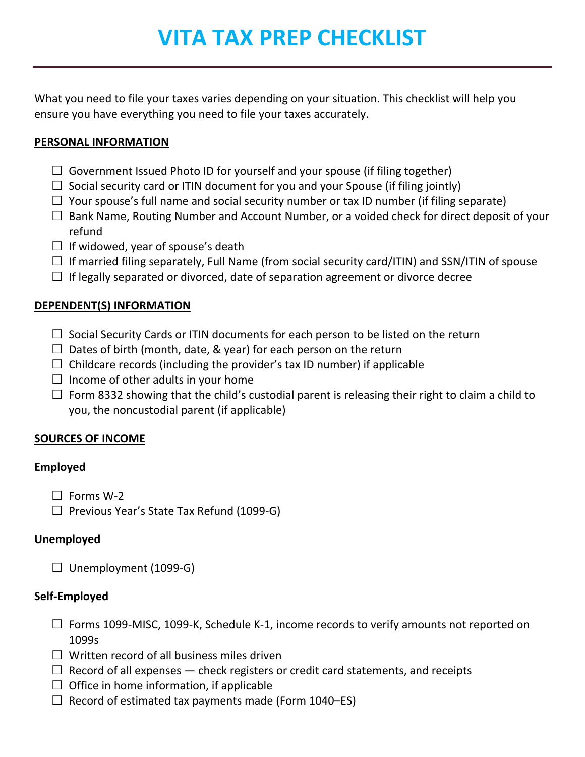# **VITA TAX PREP CHECKLIST**

What you need to file your taxes varies depending on your situation. This checklist will help you ensure you have everything you need to file your taxes accurately.

## **PERSONAL INFORMATION**

- $\Box$  Government Issued Photo ID for yourself and your spouse (if filing together)
- $\Box$  Social security card or ITIN document for you and your Spouse (if filing jointly)
- $\Box$  Your spouse's full name and social security number or tax ID number (if filing separate)
- $\Box$  Bank Name, Routing Number and Account Number, or a voided check for direct deposit of your refund
- $\Box$  If widowed, year of spouse's death
- $\Box$  If married filing separately, Full Name (from social security card/ITIN) and SSN/ITIN of spouse
- $\Box$  If legally separated or divorced, date of separation agreement or divorce decree

# **DEPENDENT(S) INFORMATION**

- $\Box$  Social Security Cards or ITIN documents for each person to be listed on the return
- $\Box$  Dates of birth (month, date, & year) for each person on the return
- $\Box$  Childcare records (including the provider's tax ID number) if applicable
- $\square$  Income of other adults in your home
- $\Box$  Form 8332 showing that the child's custodial parent is releasing their right to claim a child to you, the noncustodial parent (if applicable)

# **SOURCES OF INCOME**

# **Employed**

- $\Box$  Forms W-2
- $\Box$  Previous Year's State Tax Refund (1099-G)

# **Unemployed**

 $\Box$  Unemployment (1099-G)

# **Self-Employed**

- $\Box$  Forms 1099-MISC, 1099-K, Schedule K-1, income records to verify amounts not reported on 1099s
- $\square$  Written record of all business miles driven
- $\Box$  Record of all expenses  $-$  check registers or credit card statements, and receipts
- $\square$  Office in home information, if applicable
- $\Box$  Record of estimated tax payments made (Form 1040–ES)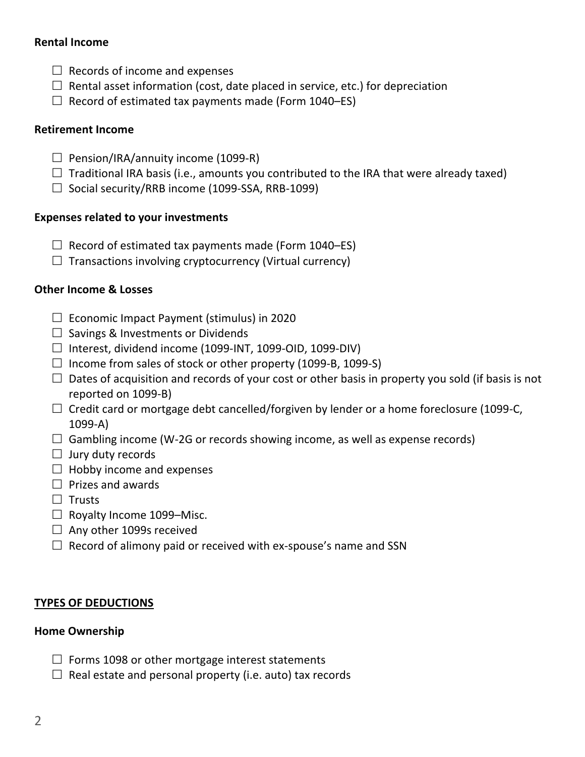## **Rental Income**

- $\Box$  Records of income and expenses
- $\Box$  Rental asset information (cost, date placed in service, etc.) for depreciation
- $\Box$  Record of estimated tax payments made (Form 1040–ES)

## **Retirement Income**

- $\Box$  Pension/IRA/annuity income (1099-R)
- $\Box$  Traditional IRA basis (i.e., amounts you contributed to the IRA that were already taxed)
- $\Box$  Social security/RRB income (1099-SSA, RRB-1099)

## **Expenses related to your investments**

- $\Box$  Record of estimated tax payments made (Form 1040–ES)
- $\Box$  Transactions involving cryptocurrency (Virtual currency)

# **Other Income & Losses**

- $\Box$  Economic Impact Payment (stimulus) in 2020
- $\square$  Savings & Investments or Dividends
- $\Box$  Interest, dividend income (1099-INT, 1099-OID, 1099-DIV)
- $\Box$  Income from sales of stock or other property (1099-B, 1099-S)
- $\Box$  Dates of acquisition and records of your cost or other basis in property you sold (if basis is not reported on 1099-B)
- $\Box$  Credit card or mortgage debt cancelled/forgiven by lender or a home foreclosure (1099-C, 1099-A)
- $\Box$  Gambling income (W-2G or records showing income, as well as expense records)
- $\Box$  Jury duty records
- $\Box$  Hobby income and expenses
- $\Box$  Prizes and awards
- $\square$  Trusts
- $\Box$  Royalty Income 1099-Misc.
- $\Box$  Any other 1099s received
- $\Box$  Record of alimony paid or received with ex-spouse's name and SSN

# **TYPES OF DEDUCTIONS**

#### **Home Ownership**

- $\Box$  Forms 1098 or other mortgage interest statements
- $\Box$  Real estate and personal property (i.e. auto) tax records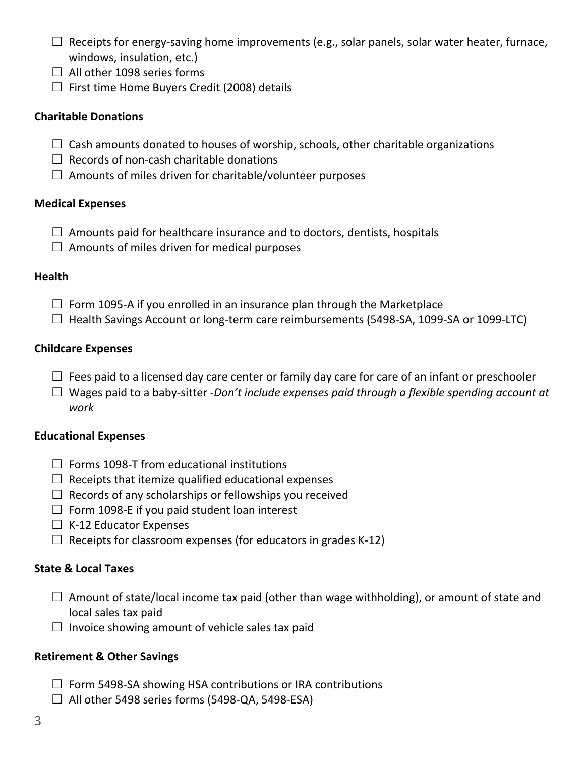- $\Box$  Receipts for energy-saving home improvements (e.g., solar panels, solar water heater, furnace, windows, insulation, etc.)
- $\Box$  All other 1098 series forms
- $\Box$  First time Home Buyers Credit (2008) details

#### **Charitable Donations**

- $\Box$  Cash amounts donated to houses of worship, schools, other charitable organizations
- $\Box$  Records of non-cash charitable donations
- $\square$  Amounts of miles driven for charitable/volunteer purposes

## **Medical Expenses**

- $\Box$  Amounts paid for healthcare insurance and to doctors, dentists, hospitals
- $\square$  Amounts of miles driven for medical purposes

#### **Health**

- $\Box$  Form 1095-A if you enrolled in an insurance plan through the Marketplace
- $\Box$  Health Savings Account or long-term care reimbursements (5498-SA, 1099-SA or 1099-LTC)

## **Childcare Expenses**

- $\Box$  Fees paid to a licensed day care center or family day care for care of an infant or preschooler
- £ Wages paid to a baby-sitter -*Don't include expenses paid through a flexible spending account at work*

#### **Educational Expenses**

- $\Box$  Forms 1098-T from educational institutions
- $\Box$  Receipts that itemize qualified educational expenses
- $\Box$  Records of any scholarships or fellowships you received
- $\Box$  Form 1098-E if you paid student loan interest
- $\Box$  K-12 Educator Expenses
- $\Box$  Receipts for classroom expenses (for educators in grades K-12)

# **State & Local Taxes**

- $\Box$  Amount of state/local income tax paid (other than wage withholding), or amount of state and local sales tax paid
- $\square$  Invoice showing amount of vehicle sales tax paid

# **Retirement & Other Savings**

- $\Box$  Form 5498-SA showing HSA contributions or IRA contributions
- $\Box$  All other 5498 series forms (5498-QA, 5498-ESA)